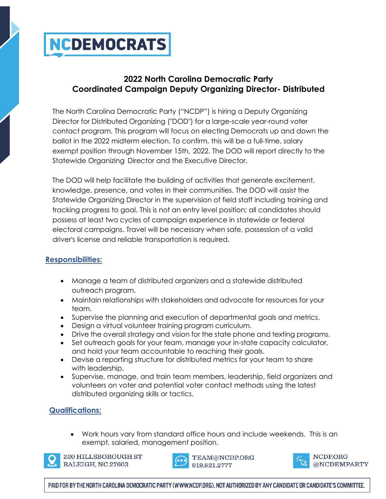# **NCDEMOCRATS**

### **2022 North Carolina Democratic Party Coordinated Campaign Deputy Organizing Director- Distributed**

The North Carolina Democratic Party ("NCDP") is hiring a Deputy Organizing Director for Distributed Organizing ("DOD") for a large-scale year-round voter contact program. This program will focus on electing Democrats up and down the ballot in the 2022 midterm election. To confirm, this will be a full-time, salary exempt position through November 15th, 2022. The DOD will report directly to the Statewide Organizing Director and the Executive Director.

The DOD will help facilitate the building of activities that generate excitement, knowledge, presence, and votes in their communities. The DOD will assist the Statewide Organizing Director in the supervision of field staff including training and tracking progress to goal. This is not an entry level position; all candidates should possess at least two cycles of campaign experience in statewide or federal electoral campaigns. Travel will be necessary when safe, possession of a valid driver's license and reliable transportation is required**.**

### **Responsibilities:**

- Manage a team of distributed organizers and a statewide distributed outreach program.
- Maintain relationships with stakeholders and advocate for resources for your team.
- Supervise the planning and execution of departmental goals and metrics.
- Design a virtual volunteer training program curriculum.
- Drive the overall strategy and vision for the state phone and texting programs.
- Set outreach goals for your team, manage your in-state capacity calculator, and hold your team accountable to reaching their goals.
- Devise a reporting structure for distributed metrics for your team to share with leadership.
- Supervise, manage, and train team members, leadership, field organizers and volunteers on voter and potential voter contact methods using the latest distributed organizing skills or tactics.

### **Qualifications:**

• Work hours vary from standard office hours and include weekends. This is an exempt, salaried, management position.



220 HILLSBOROUGH ST RALEIGH, NC 27603





PAID FOR BY THE NORTH CAROLINA DEMOCRATIC PARTY (WWW.NCDP.ORG). NOT AUTHORIZED BY ANY CANDIDATE OR CANDIDATE'S COMMITTEE.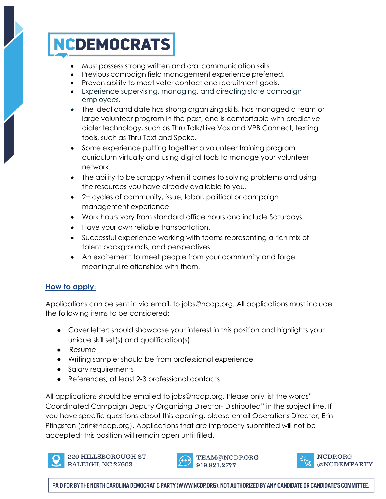## **NCDEMOCRATS**

- Must possess strong written and oral communication skills
- Previous campaign field management experience preferred.
- Proven ability to meet voter contact and recruitment goals.
- Experience supervising, managing, and directing state campaign employees.
- The ideal candidate has strong organizing skills, has managed a team or large volunteer program in the past, and is comfortable with predictive dialer technology, such as Thru Talk/Live Vox and VPB Connect, texting tools, such as Thru Text and Spoke.
- Some experience putting together a volunteer training program curriculum virtually and using digital tools to manage your volunteer network.
- The ability to be scrappy when it comes to solving problems and using the resources you have already available to you.
- 2+ cycles of community, issue, labor, political or campaign management experience
- Work hours vary from standard office hours and include Saturdays.
- Have your own reliable transportation.
- Successful experience working with teams representing a rich mix of talent backgrounds, and perspectives.
- An excitement to meet people from your community and forge meaningful relationships with them.

### **How to apply:**

Applications can be sent in via email, to jobs@ncdp.org. All applications must include the following items to be considered:

- Cover letter: should showcase your interest in this position and highlights your unique skill set(s) and qualification(s).
- Resume
- Writing sample; should be from professional experience
- Salary requirements
- References; at least 2-3 professional contacts

All applications should be emailed to jobs@ncdp.org. Please only list the words" Coordinated Campaign Deputy Organizing Director- Distributed" in the subject line. If you have specific questions about this opening, please email Operations Director, Erin Pfingston (erin@ncdp.org). Applications that are improperly submitted will not be accepted; this position will remain open until filled.



220 HILLSBOROUGH ST RALEIGH, NC 27603